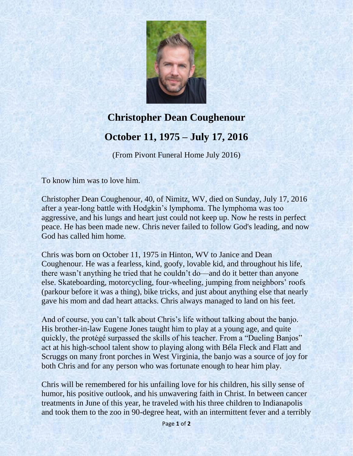

## **Christopher Dean Coughenour October 11, 1975 – July 17, 2016**

(From Pivont Funeral Home July 2016)

To know him was to love him.

Christopher Dean Coughenour, 40, of Nimitz, WV, died on Sunday, July 17, 2016 after a year-long battle with Hodgkin's lymphoma. The lymphoma was too aggressive, and his lungs and heart just could not keep up. Now he rests in perfect peace. He has been made new. Chris never failed to follow God's leading, and now God has called him home.

Chris was born on October 11, 1975 in Hinton, WV to Janice and Dean Coughenour. He was a fearless, kind, goofy, lovable kid, and throughout his life, there wasn't anything he tried that he couldn't do—and do it better than anyone else. Skateboarding, motorcycling, four-wheeling, jumping from neighbors' roofs (parkour before it was a thing), bike tricks, and just about anything else that nearly gave his mom and dad heart attacks. Chris always managed to land on his feet.

And of course, you can't talk about Chris's life without talking about the banjo. His brother-in-law Eugene Jones taught him to play at a young age, and quite quickly, the protégé surpassed the skills of his teacher. From a "Dueling Banjos" act at his high-school talent show to playing along with Béla Fleck and Flatt and Scruggs on many front porches in West Virginia, the banjo was a source of joy for both Chris and for any person who was fortunate enough to hear him play.

Chris will be remembered for his unfailing love for his children, his silly sense of humor, his positive outlook, and his unwavering faith in Christ. In between cancer treatments in June of this year, he traveled with his three children to Indianapolis and took them to the zoo in 90-degree heat, with an intermittent fever and a terribly